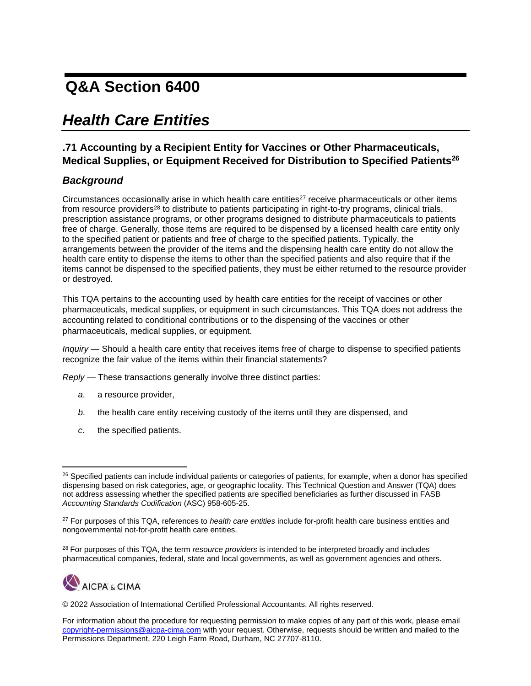## **Q&A Section 6400**

## *Health Care Entities*

## **.71 Accounting by a Recipient Entity for Vaccines or Other Pharmaceuticals, Medical Supplies, or Equipment Received for Distribution to Specified Patients<sup>26</sup>**

## *Background*

Circumstances occasionally arise in which health care entities $27$  receive pharmaceuticals or other items from resource providers<sup>28</sup> to distribute to patients participating in right-to-try programs, clinical trials, prescription assistance programs, or other programs designed to distribute pharmaceuticals to patients free of charge. Generally, those items are required to be dispensed by a licensed health care entity only to the specified patient or patients and free of charge to the specified patients. Typically, the arrangements between the provider of the items and the dispensing health care entity do not allow the health care entity to dispense the items to other than the specified patients and also require that if the items cannot be dispensed to the specified patients, they must be either returned to the resource provider or destroyed.

This TQA pertains to the accounting used by health care entities for the receipt of vaccines or other pharmaceuticals, medical supplies, or equipment in such circumstances. This TQA does not address the accounting related to conditional contributions or to the dispensing of the vaccines or other pharmaceuticals, medical supplies, or equipment.

*Inquiry* — Should a health care entity that receives items free of charge to dispense to specified patients recognize the fair value of the items within their financial statements?

*Reply* — These transactions generally involve three distinct parties:

- *a*. a resource provider,
- *b*. the health care entity receiving custody of the items until they are dispensed, and
- *c*. the specified patients.

<sup>28</sup> For purposes of this TQA, the term *resource providers* is intended to be interpreted broadly and includes pharmaceutical companies, federal, state and local governments, as well as government agencies and others.



© 2022 Association of International Certified Professional Accountants. All rights reserved.

<sup>&</sup>lt;sup>26</sup> Specified patients can include individual patients or categories of patients, for example, when a donor has specified dispensing based on risk categories, age, or geographic locality. This Technical Question and Answer (TQA) does not address assessing whether the specified patients are specified beneficiaries as further discussed in FASB *Accounting Standards Codification* (ASC) 958-605-25.

<sup>27</sup> For purposes of this TQA, references to *health care entities* include for-profit health care business entities and nongovernmental not-for-profit health care entities.

For information about the procedure for requesting permission to make copies of any part of this work, please email [copyright-permissions@aicpa-cima.com](mailto:copyright-permissions@aicpa-cima.comorg) with your request. Otherwise, requests should be written and mailed to the Permissions Department, 220 Leigh Farm Road, Durham, NC 27707-8110.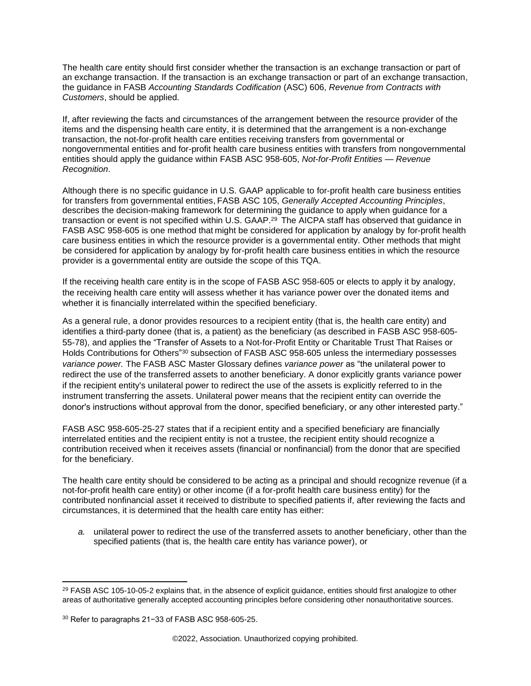The health care entity should first consider whether the transaction is an exchange transaction or part of an exchange transaction. If the transaction is an exchange transaction or part of an exchange transaction, the guidance in FASB *Accounting Standards Codification* (ASC) 606, *Revenue from Contracts with Customers*, should be applied.

If, after reviewing the facts and circumstances of the arrangement between the resource provider of the items and the dispensing health care entity, it is determined that the arrangement is a non-exchange transaction, the not-for-profit health care entities receiving transfers from governmental or nongovernmental entities and for-profit health care business entities with transfers from nongovernmental entities should apply the guidance within FASB ASC 958-605, *Not-for-Profit Entities — Revenue Recognition*.

Although there is no specific guidance in U.S. GAAP applicable to for-profit health care business entities for transfers from governmental entities, FASB ASC 105, *Generally Accepted Accounting Principles*, describes the decision-making framework for determining the guidance to apply when guidance for a transaction or event is not specified within U.S. GAAP.<sup>29</sup> The AICPA staff has observed that guidance in FASB ASC 958-605 is one method that might be considered for application by analogy by for-profit health care business entities in which the resource provider is a governmental entity. Other methods that might be considered for application by analogy by for-profit health care business entities in which the resource provider is a governmental entity are outside the scope of this TQA.

If the receiving health care entity is in the scope of FASB ASC 958-605 or elects to apply it by analogy, the receiving health care entity will assess whether it has variance power over the donated items and whether it is financially interrelated within the specified beneficiary.

As a general rule, a donor provides resources to a recipient entity (that is, the health care entity) and identifies a third-party donee (that is, a patient) as the beneficiary (as described in FASB ASC 958-605- 55-78), and applies the "Transfer of Assets to a Not-for-Profit Entity or Charitable Trust That Raises or Holds Contributions for Others"<sup>30</sup> subsection of FASB ASC 958-605 unless the intermediary possesses *variance power.* The FASB ASC Master Glossary defines *variance power* as "the unilateral power to redirect the use of the transferred assets to another beneficiary. A donor explicitly grants variance power if the recipient entity's unilateral power to redirect the use of the assets is explicitly referred to in the instrument transferring the assets. Unilateral power means that the recipient entity can override the donor's instructions without approval from the donor, specified beneficiary, or any other interested party."

FASB ASC 958-605-25-27 states that if a recipient entity and a specified beneficiary are financially interrelated entities and the recipient entity is not a trustee, the recipient entity should recognize a contribution received when it receives assets (financial or nonfinancial) from the donor that are specified for the beneficiary.

The health care entity should be considered to be acting as a principal and should recognize revenue (if a not-for-profit health care entity) or other income (if a for-profit health care business entity) for the contributed nonfinancial asset it received to distribute to specified patients if, after reviewing the facts and circumstances, it is determined that the health care entity has either:

*a.* unilateral power to redirect the use of the transferred assets to another beneficiary, other than the specified patients (that is, the health care entity has variance power), or

<sup>&</sup>lt;sup>29</sup> FASB ASC 105-10-05-2 explains that, in the absence of explicit guidance, entities should first analogize to other areas of authoritative generally accepted accounting principles before considering other nonauthoritative sources.

<sup>30</sup> Refer to paragraphs 21−33 of FASB ASC 958-605-25.